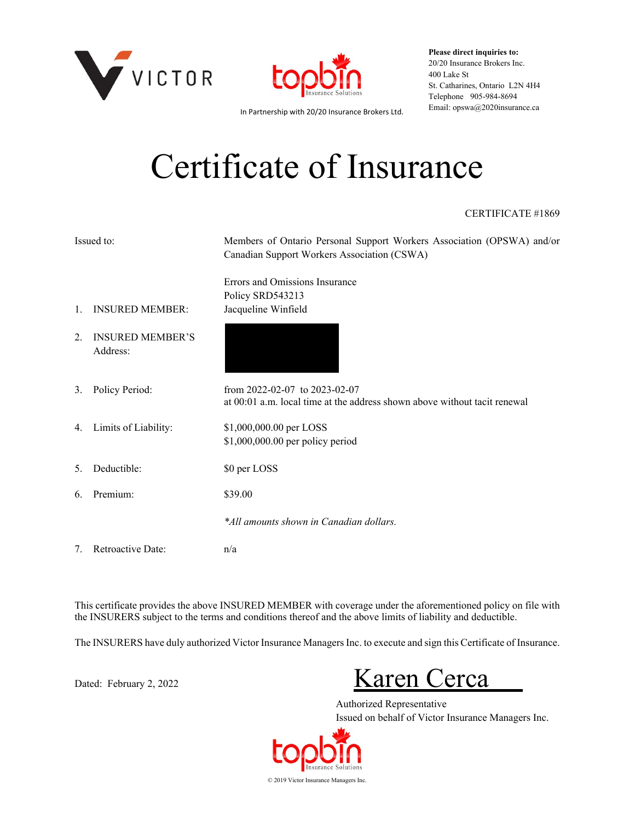



**Please direct inquiries to:** 20/20 Insurance Brokers Inc. 400 Lake St St. Catharines, Ontario L2N 4H4 Telephone 905-984-8694

Email: opswa@2020insurance.ca In Partnership with 20/20 Insurance Brokers Ltd.

# Certificate of Insurance

#### CERTIFICATE #1869

| Issued to: |                                     | Members of Ontario Personal Support Workers Association (OPSWA) and/or<br>Canadian Support Workers Association (CSWA) |
|------------|-------------------------------------|-----------------------------------------------------------------------------------------------------------------------|
| 1.         | <b>INSURED MEMBER:</b>              | Errors and Omissions Insurance<br>Policy SRD543213<br>Jacqueline Winfield                                             |
| 2.         | <b>INSURED MEMBER'S</b><br>Address: |                                                                                                                       |
| 3.         | Policy Period:                      | from 2022-02-07 to 2023-02-07<br>at 00:01 a.m. local time at the address shown above without tacit renewal            |
|            | 4. Limits of Liability:             | \$1,000,000.00 per LOSS<br>\$1,000,000.00 per policy period                                                           |
| 5.         | Deductible:                         | \$0 per LOSS                                                                                                          |
| 6.         | Premium:                            | \$39.00                                                                                                               |
|            |                                     | *All amounts shown in Canadian dollars.                                                                               |
| 7.         | Retroactive Date:                   | n/a                                                                                                                   |

This certificate provides the above INSURED MEMBER with coverage under the aforementioned policy on file with the INSURERS subject to the terms and conditions thereof and the above limits of liability and deductible.

The INSURERS have duly authorized Victor Insurance Managers Inc. to execute and sign this Certificate of Insurance.

Dated: February 2, 2022 Karen Cerca

Authorized Representative Issued on behalf of Victor Insurance Managers Inc.